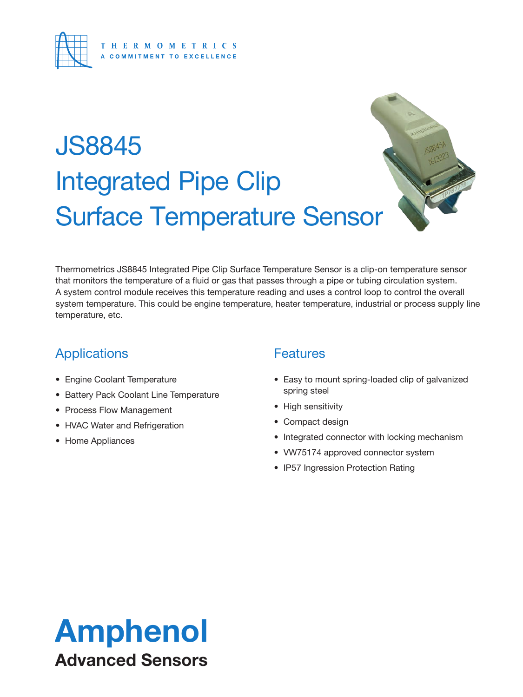

# JS8845 Integrated Pipe Clip Surface Temperature Sensor



Thermometrics JS8845 Integrated Pipe Clip Surface Temperature Sensor is a clip-on temperature sensor that monitors the temperature of a fluid or gas that passes through a pipe or tubing circulation system. A system control module receives this temperature reading and uses a control loop to control the overall system temperature. This could be engine temperature, heater temperature, industrial or process supply line temperature, etc.

### **Applications**

- Engine Coolant Temperature
- Battery Pack Coolant Line Temperature
- Process Flow Management
- HVAC Water and Refrigeration
- Home Appliances

### **Features**

- Easy to mount spring-loaded clip of galvanized spring steel
- High sensitivity
- Compact design
- Integrated connector with locking mechanism
- VW75174 approved connector system
- IP57 Ingression Protection Rating

## Amphenol Advanced Sensors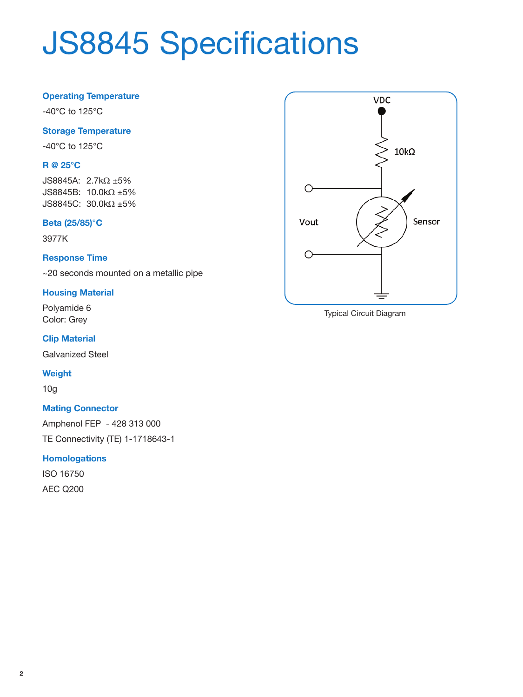# JS8845 Specifications

#### **Operating Temperature**

-40°C to 125°C

#### **Storage Temperature**

-40°C to 125°C

#### **R @ 25°C**

JS8845A: 2.7kΩ ±5% JS8845B: 10.0kΩ ±5% JS8845C: 30.0kΩ ±5%

#### **Beta (25/85)°C**

3977K

#### **Response Time**

~20 seconds mounted on a metallic pipe

#### **Housing Material**

Polyamide 6 Color: Grey

#### **Clip Material**

Galvanized Steel

#### **Weight**

10g

#### **Mating Connector**

Amphenol FEP - 428 313 000 TE Connectivity (TE) 1-1718643-1

#### **Homologations**

ISO 16750 AEC Q200



Typical Circuit Diagram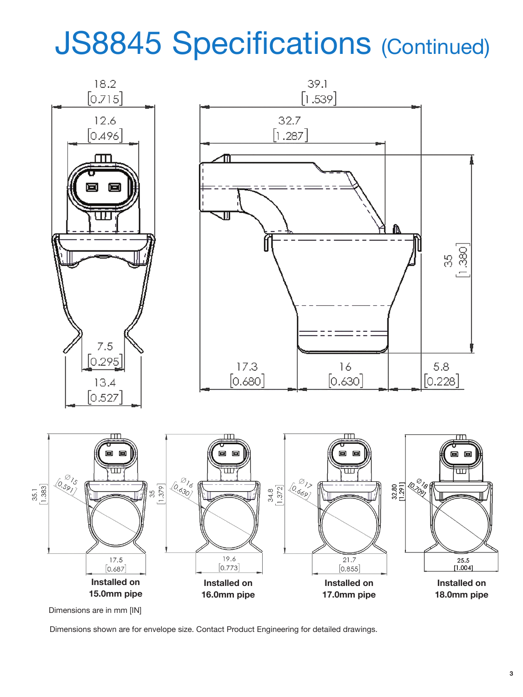## JS8845 Specifications (Continued)



Dimensions are in mm [IN]

Dimensions shown are for envelope size. Contact Product Engineering for detailed drawings.